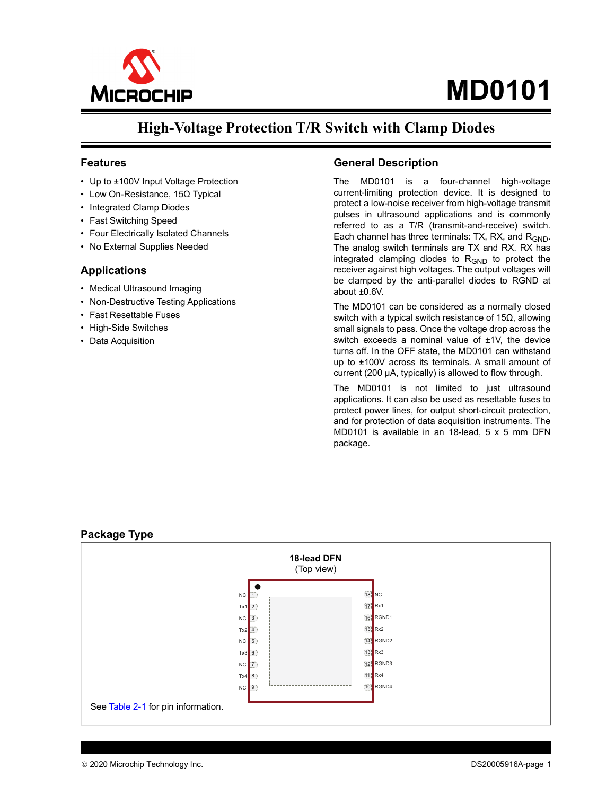

## **High-Voltage Protection T/R Switch with Clamp Diodes**

#### **Features**

- Up to ±100V Input Voltage Protection
- Low On-Resistance, 15Ω Typical
- Integrated Clamp Diodes
- Fast Switching Speed
- Four Electrically Isolated Channels
- No External Supplies Needed

#### **Applications**

- Medical Ultrasound Imaging
- Non-Destructive Testing Applications
- Fast Resettable Fuses
- High-Side Switches
- Data Acquisition

#### **General Description**

The MD0101 is a four-channel high-voltage current-limiting protection device. It is designed to protect a low-noise receiver from high-voltage transmit pulses in ultrasound applications and is commonly referred to as a T/R (transmit-and-receive) switch. Each channel has three terminals: TX, RX, and  $R_{GND}$ . The analog switch terminals are TX and RX. RX has integrated clamping diodes to  $R_{GND}$  to protect the receiver against high voltages. The output voltages will be clamped by the anti-parallel diodes to RGND at about ±0.6V.

The MD0101 can be considered as a normally closed switch with a typical switch resistance of 15Ω, allowing small signals to pass. Once the voltage drop across the switch exceeds a nominal value of  $±1V$ , the device turns off. In the OFF state, the MD0101 can withstand up to ±100V across its terminals. A small amount of current (200 µA, typically) is allowed to flow through.

The MD0101 is not limited to just ultrasound applications. It can also be used as resettable fuses to protect power lines, for output short-circuit protection, and for protection of data acquisition instruments. The MD0101 is available in an 18-lead, 5 x 5 mm DFN package.

#### <span id="page-0-0"></span>**Package Type**

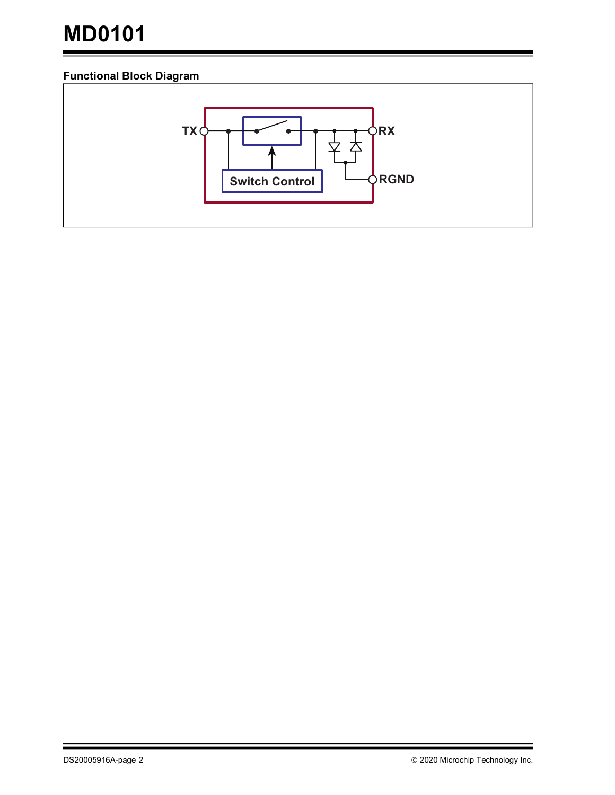### <span id="page-1-0"></span>**Functional Block Diagram**

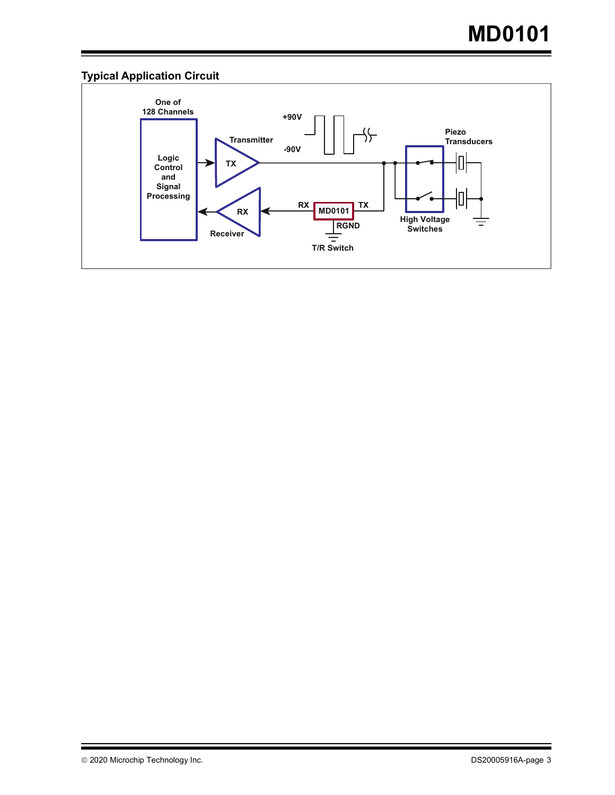## **Typical Application Circuit**

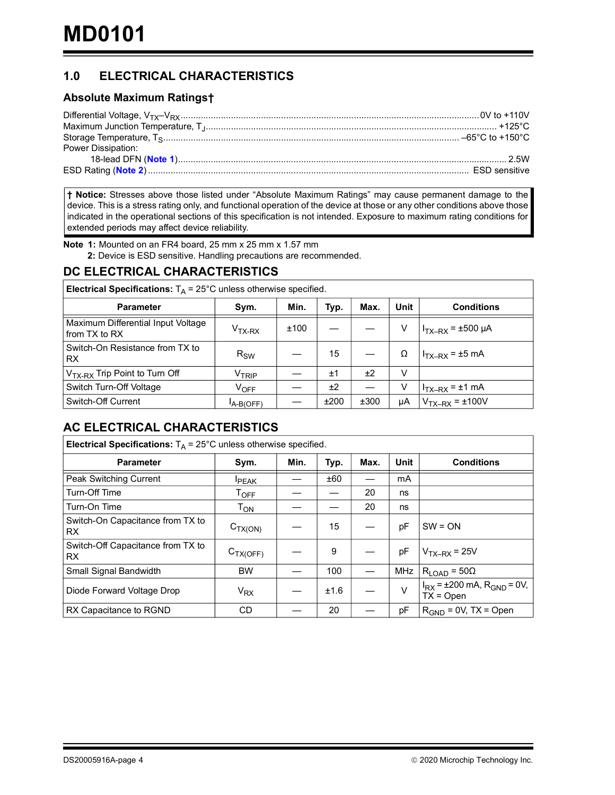## **1.0 ELECTRICAL CHARACTERISTICS**

#### **Absolute Maximum Ratings†**

| Power Dissipation: |  |
|--------------------|--|
|                    |  |
|                    |  |

**† Notice:** Stresses above those listed under "Absolute Maximum Ratings" may cause permanent damage to the device. This is a stress rating only, and functional operation of the device at those or any other conditions above those indicated in the operational sections of this specification is not intended. Exposure to maximum rating conditions for extended periods may affect device reliability.

<span id="page-3-1"></span><span id="page-3-0"></span>**Note 1:** Mounted on an FR4 board, 25 mm x 25 mm x 1.57 mm

**2:** Device is ESD sensitive. Handling precautions are recommended.

#### **DC ELECTRICAL CHARACTERISTICS**

| <b>Electrical Specifications:</b> $T_A = 25^{\circ}$ C unless otherwise specified. |                              |      |      |      |    |                        |  |  |  |
|------------------------------------------------------------------------------------|------------------------------|------|------|------|----|------------------------|--|--|--|
| Min.<br>Unit<br>Typ.<br>Max.<br><b>Conditions</b><br><b>Parameter</b><br>Sym.      |                              |      |      |      |    |                        |  |  |  |
| Maximum Differential Input Voltage<br>from TX to RX                                | $VTX-RX$                     | ±100 |      |      | V  | $I_{TX-RX}$ = ±500 µA  |  |  |  |
| Switch-On Resistance from TX to<br>RX.                                             | $R_{SW}$                     |      | 15   |      | Ω  | $ITX-RX = ±5 mA$       |  |  |  |
| V <sub>TX-RX</sub> Trip Point to Turn Off                                          | $\mathsf{V}_{\mathsf{TRIP}}$ |      | ±1   | ±2   | v  |                        |  |  |  |
| Switch Turn-Off Voltage                                                            | $V_{\text{OFF}}$             |      | ±2   |      | V  | $I_{TX-RX} = \pm 1$ mA |  |  |  |
| Switch-Off Current                                                                 | A-B(OFF)                     |      | ±200 | ±300 | μA | $V_{TX-RX} = \pm 100V$ |  |  |  |

## **AC ELECTRICAL CHARACTERISTICS**

| <b>Electrical Specifications:</b> $T_A$ = 25°C unless otherwise specified. |                             |      |      |      |            |                                                    |  |  |
|----------------------------------------------------------------------------|-----------------------------|------|------|------|------------|----------------------------------------------------|--|--|
| <b>Parameter</b>                                                           | Sym.                        | Min. | Typ. | Max. | Unit       | <b>Conditions</b>                                  |  |  |
| Peak Switching Current                                                     | <b>PEAK</b>                 |      | ±60  |      | mA         |                                                    |  |  |
| Turn-Off Time                                                              | $\mathsf{T}_{\mathsf{OFF}}$ |      |      | 20   | ns         |                                                    |  |  |
| Turn-On Time                                                               | $T_{ON}$                    |      |      | 20   | ns         |                                                    |  |  |
| Switch-On Capacitance from TX to<br>RX.                                    | $C_{TX(ON)}$                |      | 15   |      | pF         | $SW = ON$                                          |  |  |
| Switch-Off Capacitance from TX to<br>RX.                                   | $C_{TX(OFF)}$               |      | 9    |      | pF         | $VTX-RX = 25V$                                     |  |  |
| Small Signal Bandwidth                                                     | <b>BW</b>                   |      | 100  |      | <b>MHz</b> | $R_{LOAD}$ = 50 $\Omega$                           |  |  |
| Diode Forward Voltage Drop                                                 | $V_{RX}$                    |      | ±1.6 |      | $\vee$     | $I_{RX}$ = ±200 mA, $R_{GND}$ = 0V,<br>$TX = Open$ |  |  |
| RX Capacitance to RGND                                                     | CD                          |      | 20   |      | pF         | $R_{GND} = 0V$ , TX = Open                         |  |  |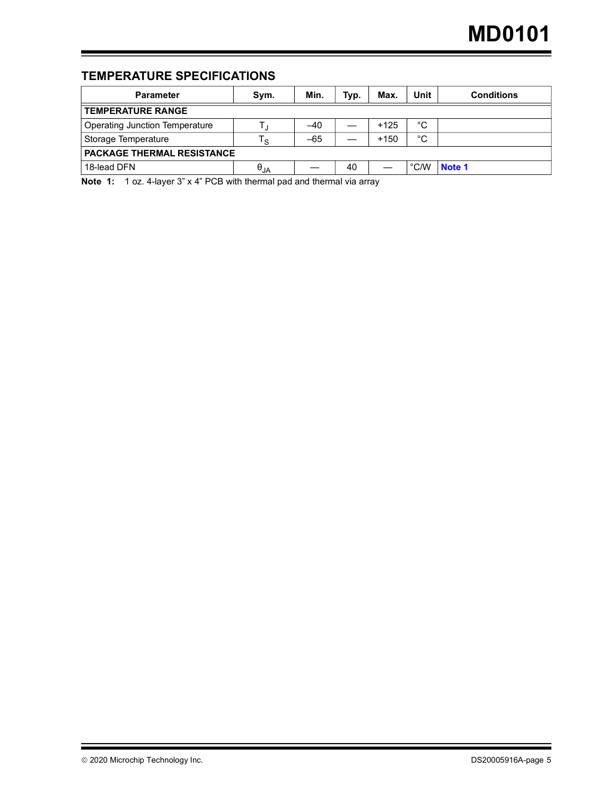## **TEMPERATURE SPECIFICATIONS**

| <b>Parameter</b>                                                                            | Svm.                   | Min.  | Typ. | Max.   | Unit          | <b>Conditions</b> |  |  |  |
|---------------------------------------------------------------------------------------------|------------------------|-------|------|--------|---------------|-------------------|--|--|--|
| <b>TEMPERATURE RANGE</b>                                                                    |                        |       |      |        |               |                   |  |  |  |
| <b>Operating Junction Temperature</b>                                                       |                        | -40   |      | $+125$ | °C            |                   |  |  |  |
| Storage Temperature                                                                         | ي ا                    | $-65$ |      | $+150$ | °C            |                   |  |  |  |
| <b>PACKAGE THERMAL RESISTANCE</b>                                                           |                        |       |      |        |               |                   |  |  |  |
| 18-lead DFN                                                                                 | $\Theta_{\mathsf{JA}}$ |       | 40   |        | $\degree$ C/W | Note 1            |  |  |  |
| Note $A_1$ , $A_2$ , $A_3$ lover $3$ " $\vee$ A" DCR with thermal pad and thermal via array |                        |       |      |        |               |                   |  |  |  |

<span id="page-4-0"></span>**Note 1:** 1 oz. 4-layer 3" x 4" PCB with thermal pad and thermal via array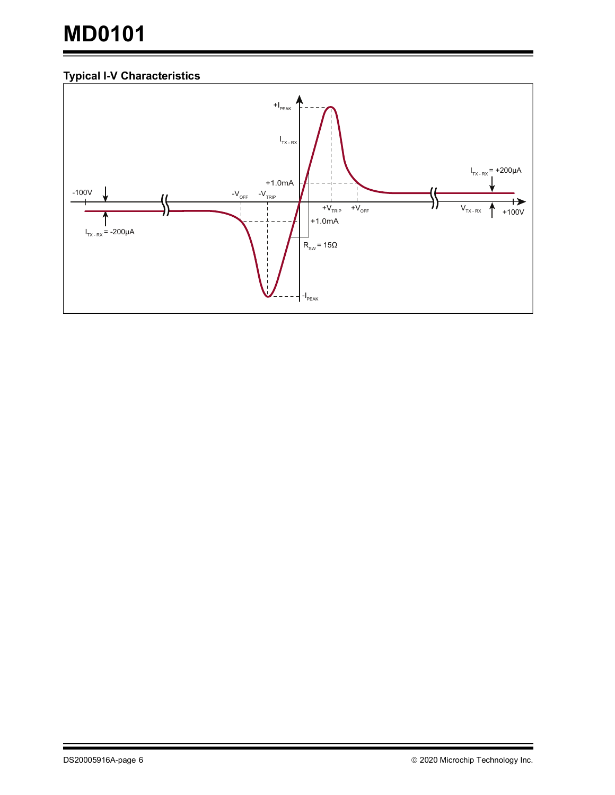## **Typical I-V Characteristics**

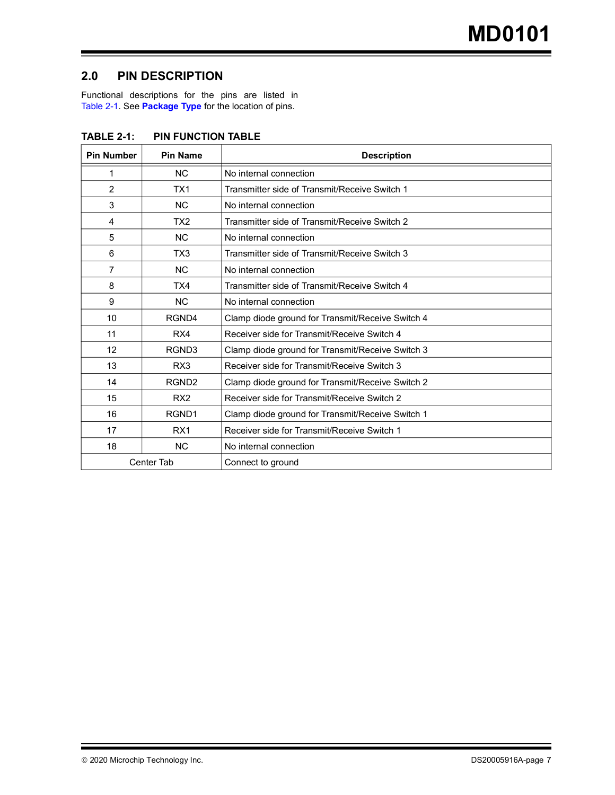### **2.0 PIN DESCRIPTION**

Functional descriptions for the pins are listed in [Table](#page-6-0) 2-1. See **[Package Type](#page-0-0)** for the location of pins.

| <b>Pin Number</b> | <b>Pin Name</b>   | <b>Description</b>                               |
|-------------------|-------------------|--------------------------------------------------|
| 1                 | <b>NC</b>         | No internal connection                           |
| 2                 | TX <sub>1</sub>   | Transmitter side of Transmit/Receive Switch 1    |
| 3                 | <b>NC</b>         | No internal connection                           |
| 4                 | TX <sub>2</sub>   | Transmitter side of Transmit/Receive Switch 2    |
| 5                 | <b>NC</b>         | No internal connection                           |
| 6                 | TX3               | Transmitter side of Transmit/Receive Switch 3    |
| 7                 | <b>NC</b>         | No internal connection                           |
| 8                 | TX4               | Transmitter side of Transmit/Receive Switch 4    |
| 9                 | <b>NC</b>         | No internal connection                           |
| 10                | RGND4             | Clamp diode ground for Transmit/Receive Switch 4 |
| 11                | RX4               | Receiver side for Transmit/Receive Switch 4      |
| 12                | RGND3             | Clamp diode ground for Transmit/Receive Switch 3 |
| 13                | RX <sub>3</sub>   | Receiver side for Transmit/Receive Switch 3      |
| 14                | RGND <sub>2</sub> | Clamp diode ground for Transmit/Receive Switch 2 |
| 15                | RX <sub>2</sub>   | Receiver side for Transmit/Receive Switch 2      |
| 16                | RGND1             | Clamp diode ground for Transmit/Receive Switch 1 |
| 17                | RX <sub>1</sub>   | Receiver side for Transmit/Receive Switch 1      |
| 18                | <b>NC</b>         | No internal connection                           |
|                   | <b>Center Tab</b> | Connect to ground                                |

<span id="page-6-0"></span>**TABLE 2-1: PIN FUNCTION TABLE**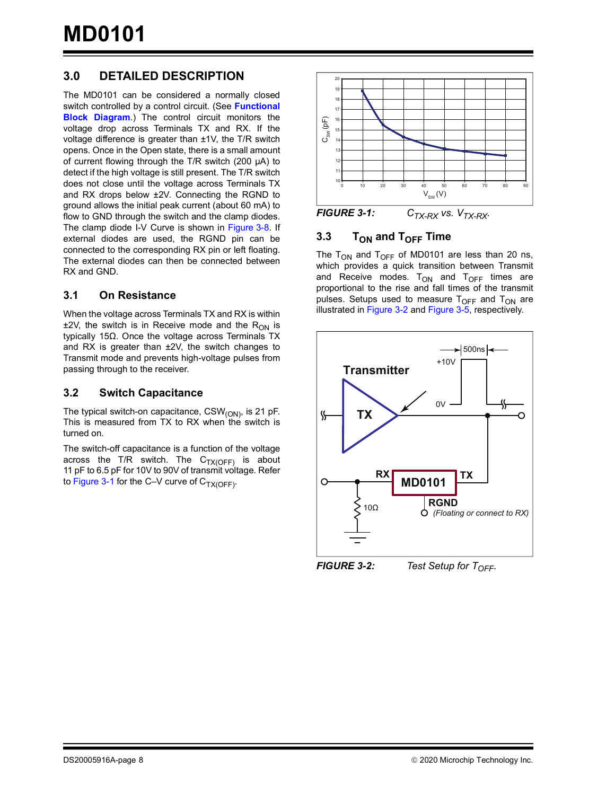## **3.0 DETAILED DESCRIPTION**

The MD0101 can be considered a normally closed switch controlled by a control circuit. (See **[Functional](#page-1-0) [Block Diagram](#page-1-0)**.) The control circuit monitors the voltage drop across Terminals TX and RX. If the voltage difference is greater than ±1V, the T/R switch opens. Once in the Open state, there is a small amount of current flowing through the T/R switch (200 µA) to detect if the high voltage is still present. The T/R switch does not close until the voltage across Terminals TX and RX drops below ±2V. Connecting the RGND to ground allows the initial peak current (about 60 mA) to flow to GND through the switch and the clamp diodes. The clamp diode I-V Curve is shown in [Figure](#page-8-0) 3-8. If external diodes are used, the RGND pin can be connected to the corresponding RX pin or left floating. The external diodes can then be connected between RX and GND.

#### **3.1 On Resistance**

When the voltage across Terminals TX and RX is within  $±2V$ , the switch is in Receive mode and the R<sub>ON</sub> is typically 15Ω. Once the voltage across Terminals TX and RX is greater than ±2V, the switch changes to Transmit mode and prevents high-voltage pulses from passing through to the receiver.

#### **3.2 Switch Capacitance**

The typical switch-on capacitance,  $CSW_{(ON)}$ , is 21 pF. This is measured from TX to RX when the switch is turned on.

The switch-off capacitance is a function of the voltage across the T/R switch. The  $C_{TX(OFF)}$  is about 11 pF to 6.5 pF for 10V to 90V of transmit voltage. Refer to [Figure](#page-7-1) 3-1 for the C-V curve of  $C_{TX(OFF)}$ .



<span id="page-7-1"></span>*FIGURE 3-1:*  $C_{TX-RX}$  vs.  $V_{TX-RX}$ .

#### **3.3 T**<sub>ON</sub> and T<sub>OFF</sub> Time

The T<sub>ON</sub> and T<sub>OFF</sub> of MD0101 are less than 20 ns, which provides a quick transition between Transmit and Receive modes.  $T_{ON}$  and  $T_{OFF}$  times are proportional to the rise and fall times of the transmit pulses. Setups used to measure  $T<sub>OFF</sub>$  and  $T<sub>ON</sub>$  are illustrated in [Figure](#page-7-0) 3-2 and [Figure](#page-8-1) 3-5, respectively.



<span id="page-7-0"></span>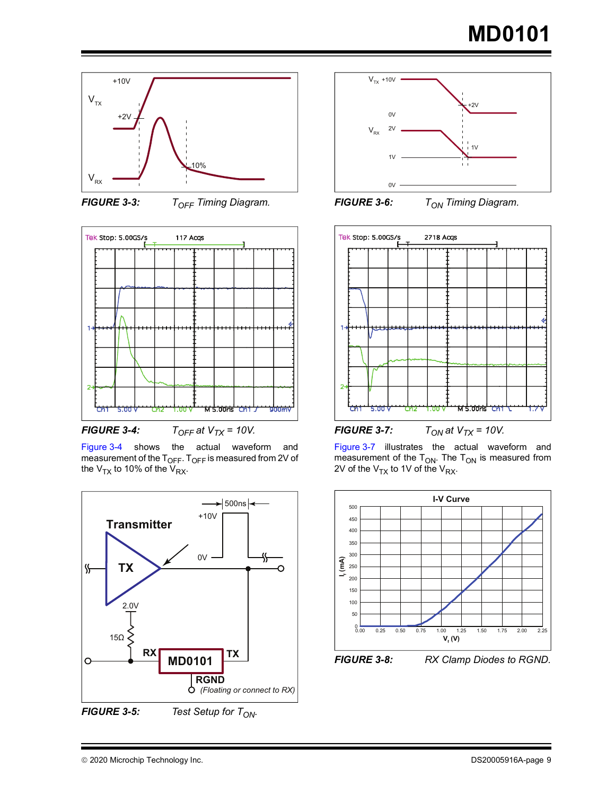





<span id="page-8-2"></span>*FIGURE 3-4:*  $T_{OFF}$  at  $V_{TX}$  = 10V.

[Figure](#page-8-2) 3-4 shows the actual waveform and measurement of the  $T_{OFF}$ .  $T_{OFF}$  is measured from 2V of the  $V_{TX}$  to 10% of the  $V_{RX}$ .



<span id="page-8-1"></span>*FIGURE 3-5: Test Setup for T<sub>ON</sub>.* 



*FIGURE 3-6: T<sub>ON</sub> Timing Diagram.* 



<span id="page-8-3"></span>[Figure](#page-8-3) 3-7 illustrates the actual waveform and measurement of the  $T_{ON}$ . The  $T_{ON}$  is measured from 2V of the  $V_{TX}$  to 1V of the  $V_{RX}$ .

<span id="page-8-0"></span>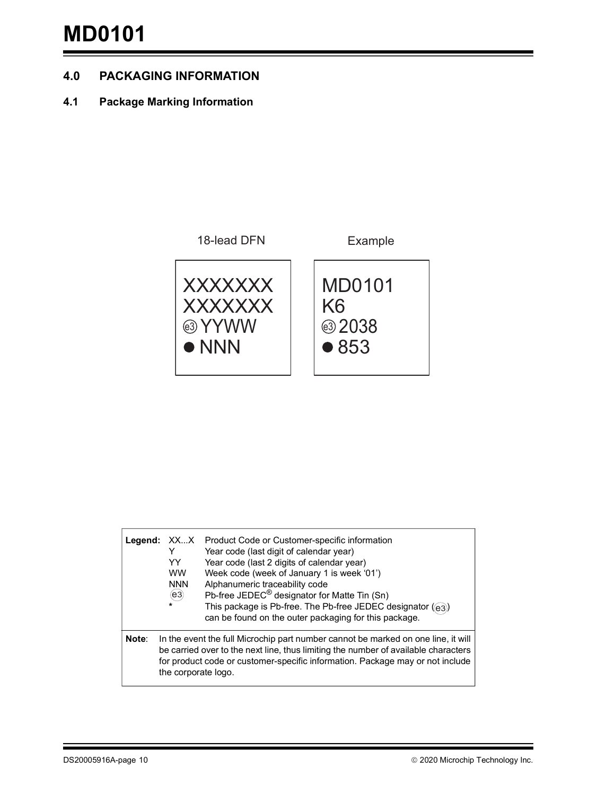### **4.0 PACKAGING INFORMATION**

### **4.1 Package Marking Information**



| Legend: | XX…X<br>YY<br><b>WW</b><br><b>NNN</b><br>(e3)<br>$\star$ | Product Code or Customer-specific information<br>Year code (last digit of calendar year)<br>Year code (last 2 digits of calendar year)<br>Week code (week of January 1 is week '01')<br>Alphanumeric traceability code<br>Pb-free JEDEC <sup>®</sup> designator for Matte Tin (Sn)<br>This package is Pb-free. The Pb-free JEDEC designator ((e3))<br>can be found on the outer packaging for this package. |
|---------|----------------------------------------------------------|-------------------------------------------------------------------------------------------------------------------------------------------------------------------------------------------------------------------------------------------------------------------------------------------------------------------------------------------------------------------------------------------------------------|
| Note:   | the corporate logo.                                      | In the event the full Microchip part number cannot be marked on one line, it will<br>be carried over to the next line, thus limiting the number of available characters<br>for product code or customer-specific information. Package may or not include                                                                                                                                                    |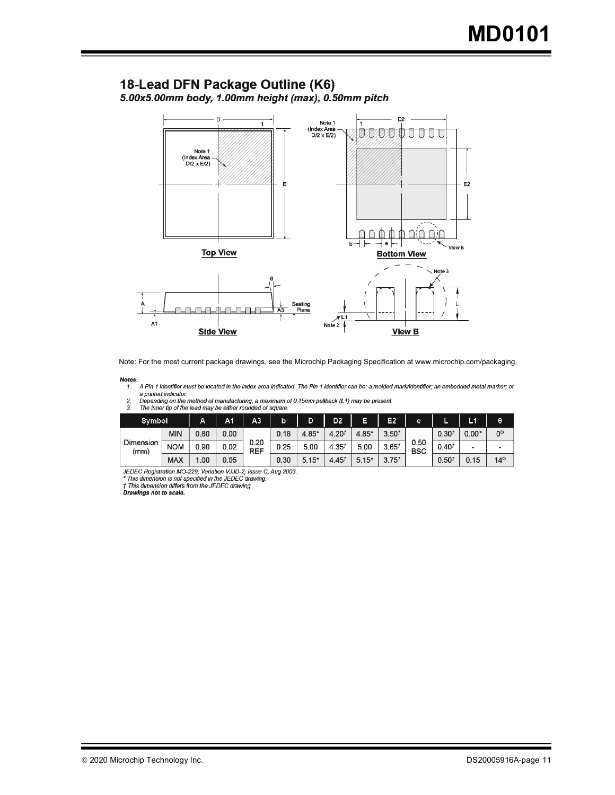#### 18-Lead DFN Package Outline (K6) 5.00x5.00mm body, 1.00mm height (max), 0.50mm pitch



Note: For the most current package drawings, see the Microchip Packaging Specification at www.microchip.com/packaging.

#### Notes:

A Pin 1 identifier must be located in the index area indicated. The Pin 1 identifier can be: a molded mark/identifier; an embedded metal marker; or  $\pmb{\mathcal{I}}$  . a printed indicator.<br>Depending on the method of manufacturing, a maximum of 0.15mm pullback (L1) may be present.

 $\frac{2}{3}$ 



| Symbol            |            | А    | A <sub>1</sub> | A3                 | b    | D       | D <sub>2</sub> | E       | E2                | e                  |            | L1      | θ              |
|-------------------|------------|------|----------------|--------------------|------|---------|----------------|---------|-------------------|--------------------|------------|---------|----------------|
|                   | MIN        | 0.80 | 0.00           |                    | 0.18 | 4.85*   | $4.20^{t}$     | $4.85*$ | 3.50 <sup>t</sup> |                    | $0.30^{t}$ | $0.00*$ | 0 <sup>o</sup> |
| Dimension<br>(mm) | <b>NOM</b> | 0.90 | 0.02           | 0.20<br><b>REF</b> | 0.25 | 5.00    | $4.35^{t}$     | 5.00    | 3.65 <sup>t</sup> | 0.50<br><b>BSC</b> | $0.40^{t}$ | -       | -              |
|                   | <b>MAX</b> | .00  | 0.05           |                    | 0.30 | $5.15*$ | $4.45^{t}$     | $5.15*$ | $3.75^{t}$        |                    | 0.50       | 0.15    | $14^\circ$     |

JEDEC Registration MO-229, Variation VJJD-2, Issue C, Aug 2003.<br>\* This dimension is not specified in the JEDEC drawing.

t This dimension differs from the JEDEC drawing.

Drawings not to scale.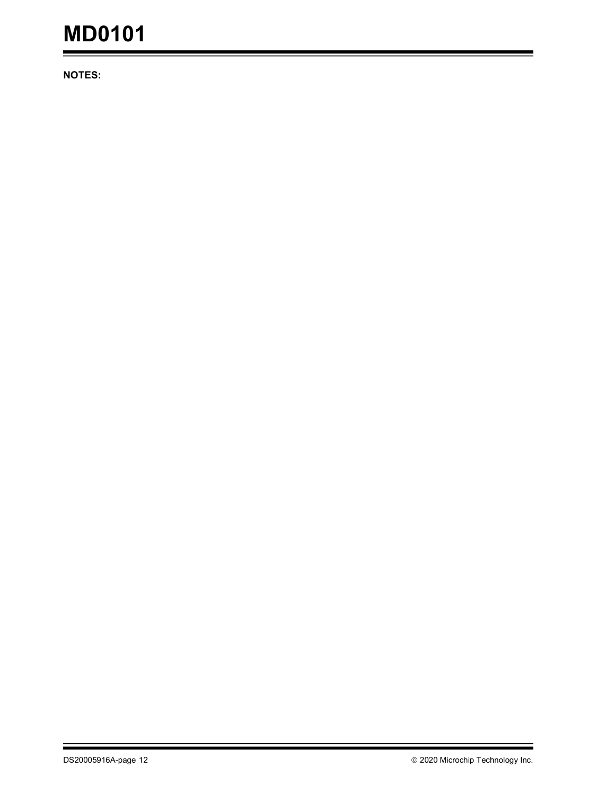**NOTES:**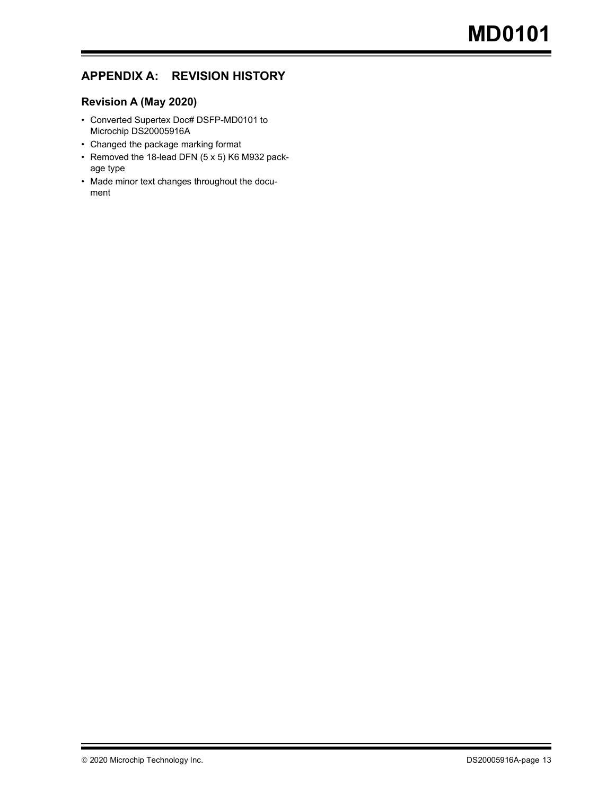### **APPENDIX A: REVISION HISTORY**

#### **Revision A (May 2020)**

- Converted Supertex Doc# DSFP-MD0101 to Microchip DS20005916A
- Changed the package marking format
- Removed the 18-lead DFN (5 x 5) K6 M932 package type
- Made minor text changes throughout the document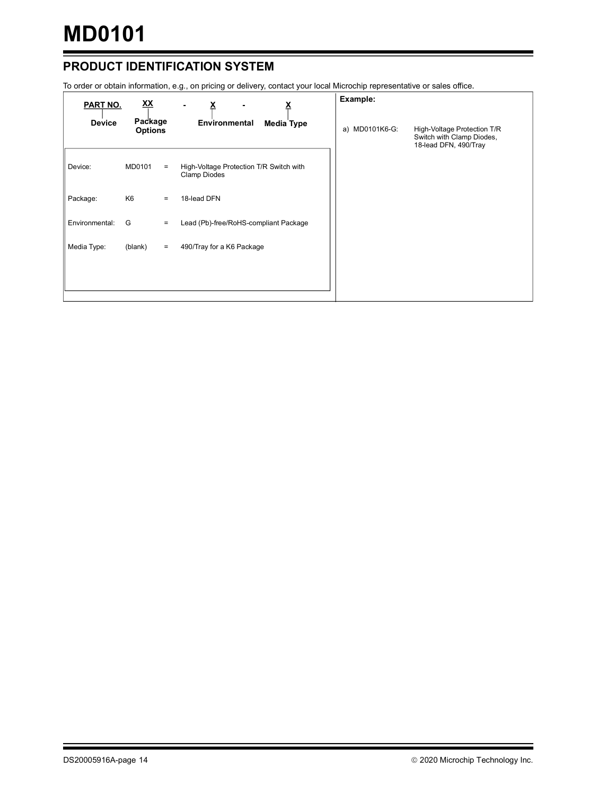## **PRODUCT IDENTIFICATION SYSTEM**

To order or obtain information, e.g., on pricing or delivery, contact your local Microchip representative or sales office.

| <b>PART NO.</b> | <u>XX</u>                 |     | <u>х</u>                                                | Example:       |                                                                                   |
|-----------------|---------------------------|-----|---------------------------------------------------------|----------------|-----------------------------------------------------------------------------------|
| <b>Device</b>   | Package<br><b>Options</b> |     | Environmental<br><b>Media Type</b>                      | a) MD0101K6-G: | High-Voltage Protection T/R<br>Switch with Clamp Diodes,<br>18-lead DFN, 490/Tray |
| Device:         | MD0101                    | $=$ | High-Voltage Protection T/R Switch with<br>Clamp Diodes |                |                                                                                   |
| Package:        | K6                        | $=$ | 18-lead DFN                                             |                |                                                                                   |
| Environmental:  | G                         | $=$ | Lead (Pb)-free/RoHS-compliant Package                   |                |                                                                                   |
| Media Type:     | (blank)                   | $=$ | 490/Tray for a K6 Package                               |                |                                                                                   |
|                 |                           |     |                                                         |                |                                                                                   |
|                 |                           |     |                                                         |                |                                                                                   |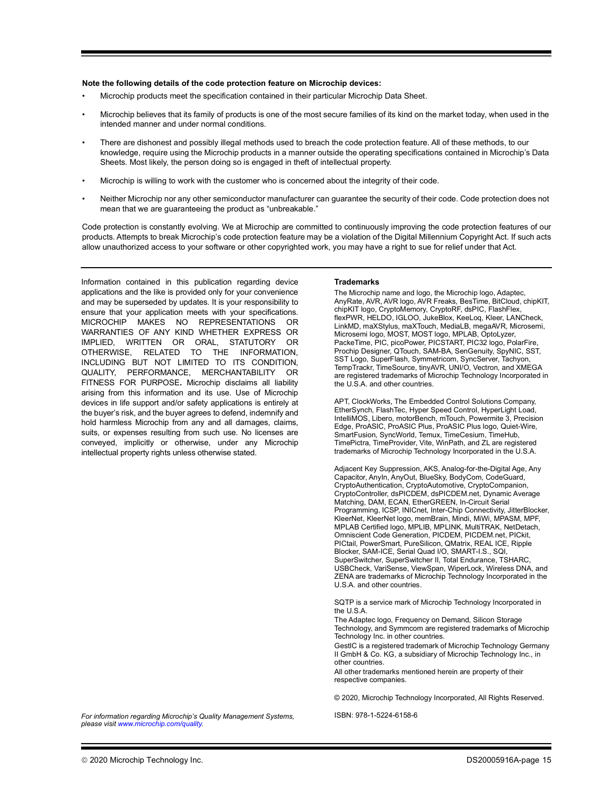#### **Note the following details of the code protection feature on Microchip devices:**

- Microchip products meet the specification contained in their particular Microchip Data Sheet.
- Microchip believes that its family of products is one of the most secure families of its kind on the market today, when used in the intended manner and under normal conditions.
- There are dishonest and possibly illegal methods used to breach the code protection feature. All of these methods, to our knowledge, require using the Microchip products in a manner outside the operating specifications contained in Microchip's Data Sheets. Most likely, the person doing so is engaged in theft of intellectual property.
- Microchip is willing to work with the customer who is concerned about the integrity of their code.
- Neither Microchip nor any other semiconductor manufacturer can guarantee the security of their code. Code protection does not mean that we are guaranteeing the product as "unbreakable."

Code protection is constantly evolving. We at Microchip are committed to continuously improving the code protection features of our products. Attempts to break Microchip's code protection feature may be a violation of the Digital Millennium Copyright Act. If such acts allow unauthorized access to your software or other copyrighted work, you may have a right to sue for relief under that Act.

Information contained in this publication regarding device applications and the like is provided only for your convenience and may be superseded by updates. It is your responsibility to ensure that your application meets with your specifications. MICROCHIP MAKES NO REPRESENTATIONS OR WARRANTIES OF ANY KIND WHETHER EXPRESS OR IMPLIED, WRITTEN OR ORAL, STATUTORY OR OTHERWISE, RELATED TO THE INFORMATION, INCLUDING BUT NOT LIMITED TO ITS CONDITION, QUALITY, PERFORMANCE, MERCHANTABILITY OR FITNESS FOR PURPOSE**.** Microchip disclaims all liability arising from this information and its use. Use of Microchip devices in life support and/or safety applications is entirely at the buyer's risk, and the buyer agrees to defend, indemnify and hold harmless Microchip from any and all damages, claims, suits, or expenses resulting from such use. No licenses are conveyed, implicitly or otherwise, under any Microchip intellectual property rights unless otherwise stated.

#### **Trademarks**

The Microchip name and logo, the Microchip logo, Adaptec, AnyRate, AVR, AVR logo, AVR Freaks, BesTime, BitCloud, chipKIT, chipKIT logo, CryptoMemory, CryptoRF, dsPIC, FlashFlex, flexPWR, HELDO, IGLOO, JukeBlox, KeeLoq, Kleer, LANCheck, LinkMD, maXStylus, maXTouch, MediaLB, megaAVR, Microsemi, Microsemi logo, MOST, MOST logo, MPLAB, OptoLyzer, PackeTime, PIC, picoPower, PICSTART, PIC32 logo, PolarFire, Prochip Designer, QTouch, SAM-BA, SenGenuity, SpyNIC, SST, SST Logo, SuperFlash, Symmetricom, SyncServer, Tachyon, TempTrackr, TimeSource, tinyAVR, UNI/O, Vectron, and XMEGA are registered trademarks of Microchip Technology Incorporated in the U.S.A. and other countries.

APT, ClockWorks, The Embedded Control Solutions Company, EtherSynch, FlashTec, Hyper Speed Control, HyperLight Load, IntelliMOS, Libero, motorBench, mTouch, Powermite 3, Precision Edge, ProASIC, ProASIC Plus, ProASIC Plus logo, Quiet-Wire, SmartFusion, SyncWorld, Temux, TimeCesium, TimeHub, TimePictra, TimeProvider, Vite, WinPath, and ZL are registered trademarks of Microchip Technology Incorporated in the U.S.A.

Adjacent Key Suppression, AKS, Analog-for-the-Digital Age, Any Capacitor, AnyIn, AnyOut, BlueSky, BodyCom, CodeGuard, CryptoAuthentication, CryptoAutomotive, CryptoCompanion, CryptoController, dsPICDEM, dsPICDEM.net, Dynamic Average Matching, DAM, ECAN, EtherGREEN, In-Circuit Serial Programming, ICSP, INICnet, Inter-Chip Connectivity, JitterBlocker, KleerNet, KleerNet logo, memBrain, Mindi, MiWi, MPASM, MPF, MPLAB Certified logo, MPLIB, MPLINK, MultiTRAK, NetDetach, Omniscient Code Generation, PICDEM, PICDEM.net, PICkit, PICtail, PowerSmart, PureSilicon, QMatrix, REAL ICE, Ripple Blocker, SAM-ICE, Serial Quad I/O, SMART-I.S., SQI, SuperSwitcher, SuperSwitcher II, Total Endurance, TSHARC, USBCheck, VariSense, ViewSpan, WiperLock, Wireless DNA, and ZENA are trademarks of Microchip Technology Incorporated in the U.S.A. and other countries.

SQTP is a service mark of Microchip Technology Incorporated in the U.S.A.

The Adaptec logo, Frequency on Demand, Silicon Storage Technology, and Symmcom are registered trademarks of Microchip Technology Inc. in other countries.

GestIC is a registered trademark of Microchip Technology Germany II GmbH & Co. KG, a subsidiary of Microchip Technology Inc., in other countries.

All other trademarks mentioned herein are property of their respective companies.

© 2020, Microchip Technology Incorporated, All Rights Reserved.

*[For information regarding Microchip's Quality Management Systems,](www.microchip.com/quality)  [please visit](www.microchip.com/quality) www.microchip.com/quality.*

ISBN: 978-1-5224-6158-6